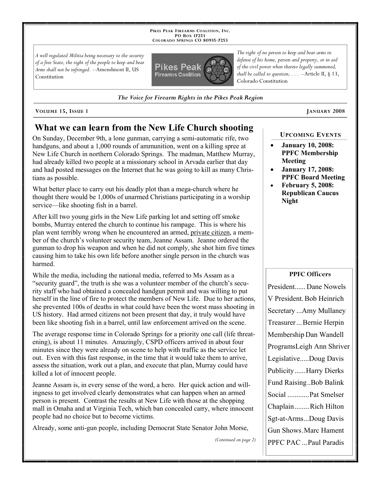**PIKES PEAK FIREARMS COALITION, INC. PO BOX 17253 COLORADO SPRINGS CO 80935 -7253**

*A well regulated Militia being necessary to the security of a free State, the right of the people to keep and bear Arms shall not be infringed.* --Amendment II, US Constitution



*The Voice for Firearm Rights in the Pikes Peak Region*

**VOLUME 15, ISSUE 1 JANUARY 2008**

# **What we can learn from the New Life Church shooting**

On Sunday, December 9th, a lone gunman, carrying a semi-automatic rife, two handguns, and about a 1,000 rounds of ammunition, went on a killing spree at New Life Church in northern Colorado Springs. The madman, Matthew Murray, had already killed two people at a missionary school in Arvada earlier that day and had posted messages on the Internet that he was going to kill as many Christians as possible.

What better place to carry out his deadly plot than a mega-church where he thought there would be 1,000s of unarmed Christians participating in a worship service—like shooting fish in a barrel.

After kill two young girls in the New Life parking lot and setting off smoke bombs, Murray entered the church to continue his rampage. This is where his plan went terribly wrong when he encountered an armed, private citizen, a member of the church's volunteer security team, Jeanne Assam. Jeanne ordered the gunman to drop his weapon and when he did not comply, she shot him five times causing him to take his own life before another single person in the church was harmed.

While the media, including the national media, referred to Ms Assam as a "security guard", the truth is she was a volunteer member of the church's security staff who had obtained a concealed handgun permit and was willing to put herself in the line of fire to protect the members of New Life. Due to her actions, she prevented 100s of deaths in what could have been the worst mass shooting in US history. Had armed citizens not been present that day, it truly would have been like shooting fish in a barrel, until law enforcement arrived on the scene.

The average response time in Colorado Springs for a priority one call (life threatening), is about 11 minutes. Amazingly, CSPD officers arrived in about four minutes since they were already on scene to help with traffic as the service let out. Even with this fast response, in the time that it would take them to arrive, assess the situation, work out a plan, and execute that plan, Murray could have killed a lot of innocent people.

Jeanne Assam is, in every sense of the word, a hero. Her quick action and willingness to get involved clearly demonstrates what can happen when an armed person is present. Contrast the results at New Life with those at the shopping mall in Omaha and at Virginia Tech, which ban concealed carry, where innocent people had no choice but to become victims.

Already, some anti-gun people, including Democrat State Senator John Morse,

*The right of no person to keep and bear arms in defense of his home, person and property, or in aid of the civil power when thereto legally summoned, shall be called to question; . . .* --Article II, § 13, Colorado Constitution

### **UPCOMING EVENTS**

- **January 10, 2008: PPFC Membership Meeting**
- **January 17, 2008: PPFC Board Meeting**
- **February 5, 2008: Republican Caucus Night**

### **PPFC Officers**

President...... Dane Nowels V President. Bob Heinrich Secretary ...Amy Mullaney Treasurer ... Bernie Herpin Membership Dan Wandell ProgramsLeigh Ann Shriver Legislative.....Doug Davis Publicity......Harry Dierks Fund Raising..Bob Balink Social ............Pat Smelser Chaplain........Rich Hilton Sgt-at-Arms...Doug Davis Gun Shows.Marc Hament PPFC PAC ...Paul Paradis

*(Continued on page 2)*